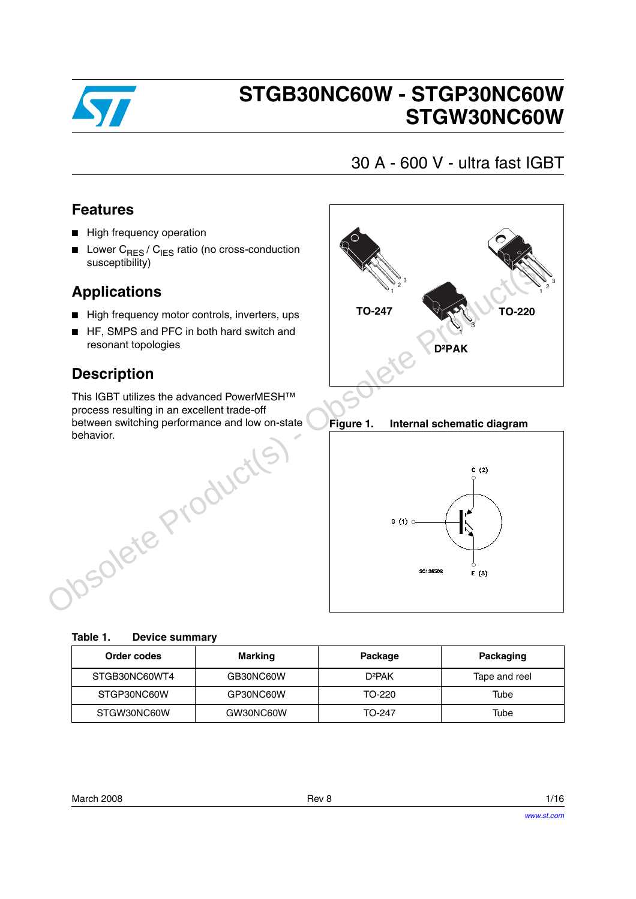

# **STGB30NC60W - STGP30NC60W STGW30NC60W**

## 30 A - 600 V - ultra fast IGBT

### **Features**

- High frequency operation
- **■** Lower  $C_{RES}/C_{IES}$  ratio (no cross-conduction susceptibility)

### **Applications**

- High frequency motor controls, inverters, ups
- HF, SMPS and PFC in both hard switch and resonant topologies

### **Description**

This IGBT utilizes the advanced PowerMESH™ process resulting in an excellent trade-off between switching performance and low on-state behavior.



**Figure 1. Internal schematic diagram**



| Table 1. |  | <b>Device summary</b> |
|----------|--|-----------------------|
|----------|--|-----------------------|

| Order codes   | <b>Marking</b> | Package            | Packaging     |
|---------------|----------------|--------------------|---------------|
| STGB30NC60WT4 | GB30NC60W      | D <sup>2</sup> PAK | Tape and reel |
| STGP30NC60W   | GP30NC60W      | TO-220             | Tube          |
| STGW30NC60W   | GW30NC60W      | TO-247             | Tube          |

| March 2008 | Rev 8 | 1/16 |
|------------|-------|------|
|            |       |      |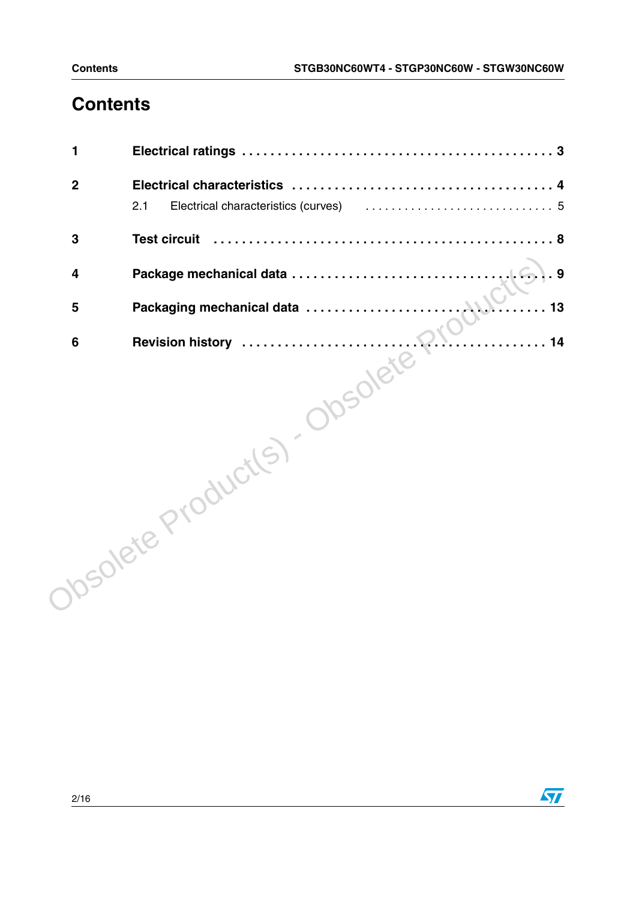## **Contents**

| 1                       |                                                                                                                        |
|-------------------------|------------------------------------------------------------------------------------------------------------------------|
| $\boldsymbol{2}$        |                                                                                                                        |
|                         | Electrical characteristics (curves) (all contains and contained all contains a set of the set of the set of the<br>2.1 |
| 3                       | <b>Test circuit</b>                                                                                                    |
| $\overline{\mathbf{4}}$ | . 9                                                                                                                    |
| 5                       | 13                                                                                                                     |
|                         | 14                                                                                                                     |
|                         | Josolete Product(s) - Obsolete f                                                                                       |

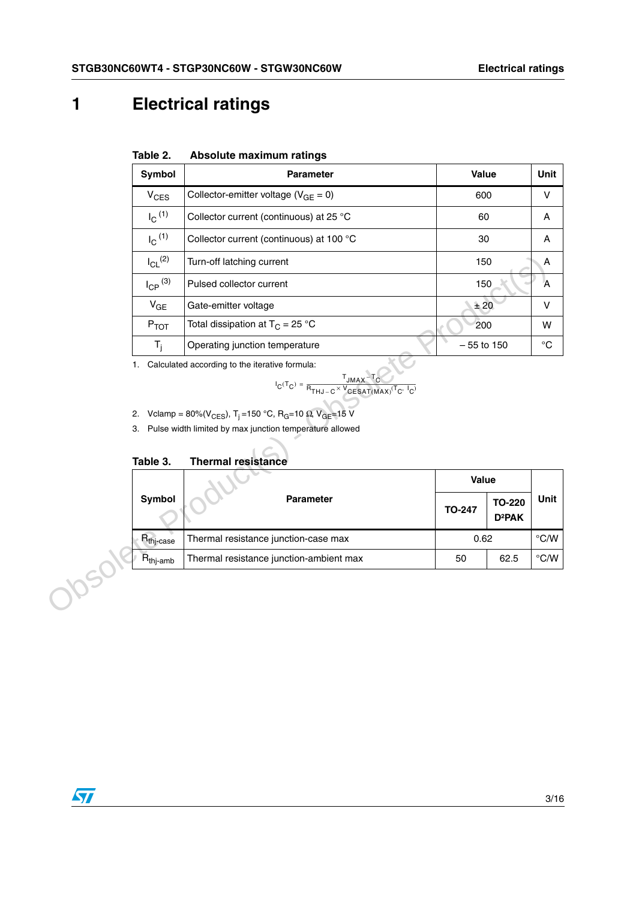## **1 Electrical ratings**

| Table 2. |  | Absolute maximum ratings |  |
|----------|--|--------------------------|--|
|----------|--|--------------------------|--|

| Symbol                     | <b>Parameter</b>                           | Value        | Unit |
|----------------------------|--------------------------------------------|--------------|------|
| $V_{CES}$                  | Collector-emitter voltage ( $V_{GE} = 0$ ) | 600          | v    |
| $I_{\rm C}$ <sup>(1)</sup> | Collector current (continuous) at 25 °C    | 60           | A    |
| $I_{\rm C}$ <sup>(1)</sup> | Collector current (continuous) at 100 °C   | 30           | A    |
| $I_{CL}$ <sup>(2)</sup>    | Turn-off latching current                  | 150          | A    |
| $I_{\text{CP}}^{(3)}$      | Pulsed collector current                   | 150          | Α    |
| $V_{GE}$                   | Gate-emitter voltage                       | ±20          | v    |
| $P_{TOT}$                  | Total dissipation at $T_C = 25 °C$         | 200          | w    |
| $T_i$                      | Operating junction temperature             | $-55$ to 150 | °C   |

we formula:

\n
$$
I_{\text{C}}(T_{\text{C}}) = \frac{T_{\text{JMAX}} - T_{\text{C}}}{P_{\text{THJ} - \text{C}} \times V_{\text{CESAT(MAX})}(T_{\text{C}} \cdot I_{\text{C}})}
$$

2. Vclamp = 80%(V<sub>CES</sub>), T<sub>j</sub> = 150 °C, R<sub>G</sub>=10 
$$
\Omega
$$
, V<sub>GE</sub>=15 V

#### **Table 3. Thermal resistance**

| $I_{CL}$ <sup>(2)</sup> | Turn-off latching current                                                                                                                                                                                                                                                                                                                                                                             |               | 150                                 | A                  |
|-------------------------|-------------------------------------------------------------------------------------------------------------------------------------------------------------------------------------------------------------------------------------------------------------------------------------------------------------------------------------------------------------------------------------------------------|---------------|-------------------------------------|--------------------|
| $I_{\text{CP}}^{(3)}$   | Pulsed collector current                                                                                                                                                                                                                                                                                                                                                                              |               | 150                                 | Α                  |
| $V_{GE}$                | Gate-emitter voltage                                                                                                                                                                                                                                                                                                                                                                                  |               | ± 20                                | V                  |
| $P_{TOT}$               | Total dissipation at $T_C = 25 °C$                                                                                                                                                                                                                                                                                                                                                                    |               | 200                                 | W                  |
| $T_{j}$                 | Operating junction temperature                                                                                                                                                                                                                                                                                                                                                                        | $-55$ to 150  |                                     | $^{\circ}{\rm C}$  |
| 1.<br>2.                | Calculated according to the iterative formula:<br>$\mathsf{I}_{\mathbf{C}}(\mathsf{T}_{\mathbf{C}})=\frac{\mathsf{T}_{\mathsf{JMAX}}-\mathsf{T}_{\mathbf{C}}}{\mathsf{R}_{\mathsf{THM}-\mathbf{C}}\times\mathsf{V}_{\mathsf{GESAT}(MAX)}(\mathsf{T}_{\mathbf{C}},\ \mathsf{I}_{\mathbf{C}})}$<br>Vclamp = 80%(V <sub>CES</sub> ), T <sub>i</sub> =150 °C, R <sub>G</sub> =10 Ω, V <sub>GE</sub> =15 V |               |                                     |                    |
| Table 3.                | 3. Pulse width limited by max junction temperature allowed<br><b>Thermal resistance</b>                                                                                                                                                                                                                                                                                                               |               |                                     |                    |
|                         |                                                                                                                                                                                                                                                                                                                                                                                                       | Value         |                                     |                    |
| Symbol                  | <b>Parameter</b>                                                                                                                                                                                                                                                                                                                                                                                      | <b>TO-247</b> | <b>TO-220</b><br>D <sup>2</sup> PAK | Unit               |
| $R_{\mathsf{thj-case}}$ | Thermal resistance junction-case max                                                                                                                                                                                                                                                                                                                                                                  | 0.62          |                                     | $\rm ^{\circ}$ C/W |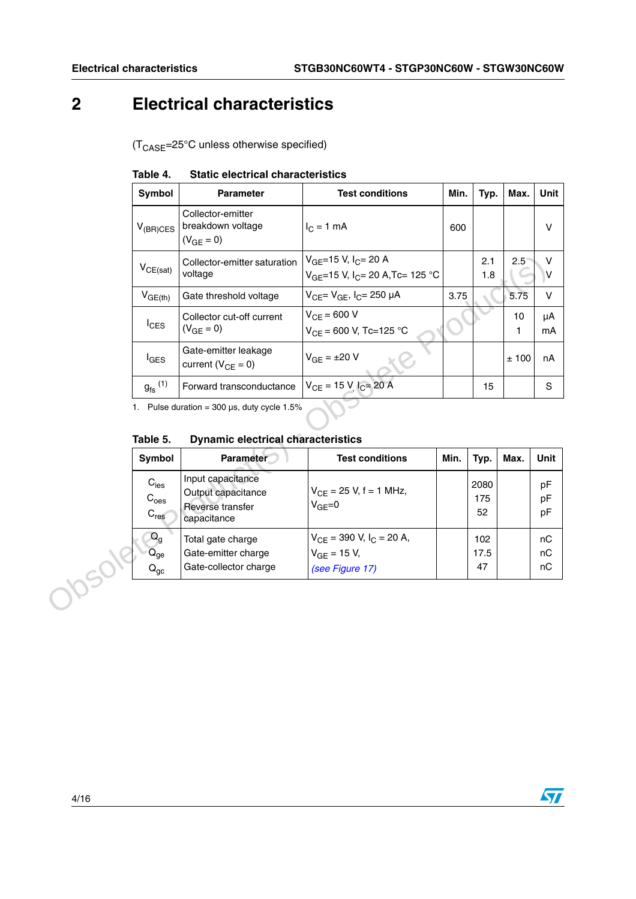## <span id="page-3-0"></span>**2 Electrical characteristics**

 $(T_{\text{CASE}} = 25^{\circ} \text{C}$  unless otherwise specified)

| Symbol                                                            | <b>Parameter</b>                                                              | <b>Test conditions</b>                                                                  | Min. | Typ.              | Max.          | <b>Unit</b>    |
|-------------------------------------------------------------------|-------------------------------------------------------------------------------|-----------------------------------------------------------------------------------------|------|-------------------|---------------|----------------|
| $V_{(BR)CES}$                                                     | Collector-emitter<br>breakdown voltage<br>$(V_{GE} = 0)$                      | $I_C = 1$ mA                                                                            | 600  |                   |               | $\vee$         |
| $V_{CE(sat)}$                                                     | Collector-emitter saturation<br>voltage                                       | V <sub>GE</sub> =15 V, I <sub>C</sub> = 20 A<br>$V_{GF}=15$ V, $I_{C}=20$ A, Tc= 125 °C |      | 2.1<br>1.8        | $2.5^{\circ}$ | $\vee$<br>V    |
| $V_{GE(th)}$                                                      | Gate threshold voltage                                                        | $V_{CF} = V_{GF}$ , $I_C = 250 \mu A$                                                   | 3.75 |                   | 5.75          | $\vee$         |
| $I_{CES}$                                                         | Collector cut-off current<br>$(V_{GE} = 0)$                                   | $V_{CF} = 600 V$<br>$V_{CF}$ = 600 V, Tc=125 °C                                         |      |                   | 10<br>1       | μA<br>mA       |
| $I_{\text{GES}}$                                                  | Gate-emitter leakage<br>current ( $V_{CE} = 0$ )                              | $V_{GE} = \pm 20 V$                                                                     |      |                   | ±100          | nA             |
|                                                                   |                                                                               |                                                                                         |      |                   |               |                |
| $g_{\text{fs}}^{(1)}$                                             | Forward transconductance<br>1. Pulse duration = $300 \mu s$ , duty cycle 1.5% | $V_{CE}$ = 15 V <sub>, <math>I_C</math></sub> = 20 A                                    |      | 15                |               | S              |
| Table 5.                                                          | <b>Dynamic electrical characteristics</b>                                     |                                                                                         |      |                   |               |                |
| Symbol                                                            | Parameter                                                                     | <b>Test conditions</b>                                                                  | Min. | Typ.              | Max.          | Unit           |
| $C_{\text{ies}}$<br>$C_{\text{oes}}$<br>$\mathbf{C}_{\text{res}}$ | Input capacitance<br>Output capacitance<br>Reverse transfer<br>capacitance    | $V_{CF}$ = 25 V, f = 1 MHz,<br>$VGF=0$                                                  |      | 2080<br>175<br>52 |               | pF<br>pF<br>pF |

### <span id="page-3-1"></span>**Table 4. Static electrical characteristics**

### **Table 5. Dynamic electrical characteristics**

| Symbol                                            | <b>Parameter</b>                                                           | <b>Test conditions</b>                                                 | Min. | Typ.              | Max. | Unit           |
|---------------------------------------------------|----------------------------------------------------------------------------|------------------------------------------------------------------------|------|-------------------|------|----------------|
| $C_{\text{ies}}$<br>$C_{\text{oes}}$<br>$C_{res}$ | Input capacitance<br>Output capacitance<br>Reverse transfer<br>capacitance | $V_{CE}$ = 25 V, f = 1 MHz,<br>$V_{GF}=0$                              |      | 2080<br>175<br>52 |      | pF<br>pF<br>pF |
| $Q_g$<br>$Q_{ge}$<br>$Q_{gc}$                     | Total gate charge<br>Gate-emitter charge<br>Gate-collector charge          | $V_{CE}$ = 390 V, $I_C$ = 20 A,<br>$V_{GE}$ = 15 V,<br>(see Figure 17) |      | 102<br>17.5<br>47 |      | nC<br>nC<br>nC |

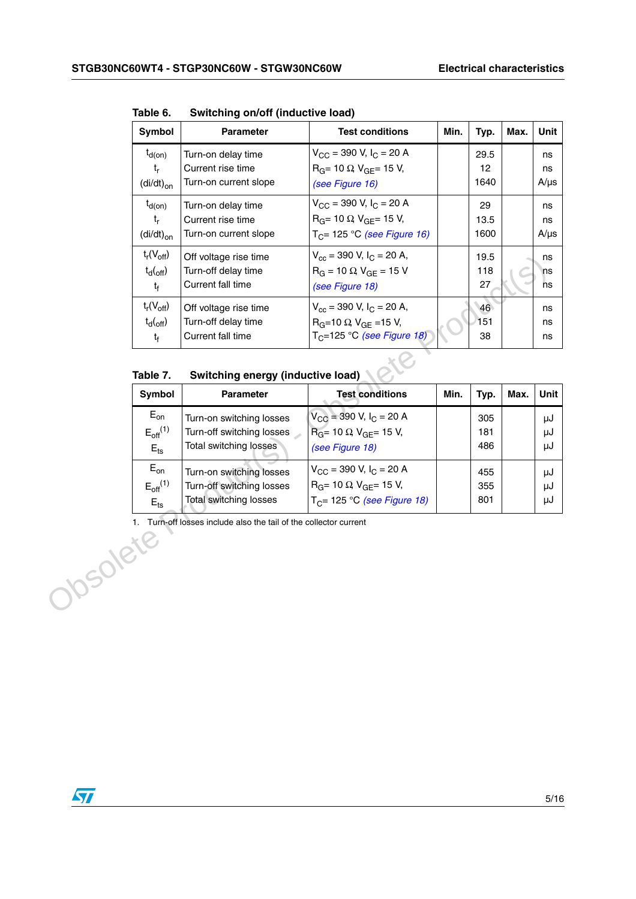| Symbol                                                             | <b>Parameter</b>                                                  | <b>Test conditions</b>                                                                                                     | Min. | Typ.               | Max. | Unit                  |
|--------------------------------------------------------------------|-------------------------------------------------------------------|----------------------------------------------------------------------------------------------------------------------------|------|--------------------|------|-----------------------|
| $t_{d(on)}$<br>$t_{r}$<br>$\left(\frac{di}{dt}\right)_{on}$        | Turn-on delay time<br>Current rise time<br>Turn-on current slope  | $V_{\text{CC}}$ = 390 V, $I_{\text{C}}$ = 20 A<br>$R_G$ = 10 $\Omega$ , $V_{GF}$ = 15 V,<br>(see Figure 16)                |      | 29.5<br>12<br>1640 |      | ns<br>ns<br>$A/\mu s$ |
| $t_{d(on)}$<br>$t_{r}$<br>$\left(\frac{di}{dt}\right)_{\text{on}}$ | Turn-on delay time<br>Current rise time<br>Turn-on current slope  | $V_{\text{CC}}$ = 390 V, $I_{\text{C}}$ = 20 A<br>$R_G$ = 10 $\Omega$ , $V_{GF}$ = 15 V,<br>$T_C$ = 125 °C (see Figure 16) |      | 29<br>13.5<br>1600 |      | ns<br>ns<br>$A/\mu s$ |
| $t_r(V_{off})$<br>$t_{d}({_{off}})$<br>$t_f$                       | Off voltage rise time<br>Turn-off delay time<br>Current fall time | $V_{cc}$ = 390 V, $I_C$ = 20 A,<br>$R_G = 10 \Omega$ , $V_{GF} = 15 V$<br>(see Figure 18)                                  |      | 19.5<br>118<br>27  |      | ns<br>ns<br>ns        |
| $t_r(V_{off})$<br>$t_{d}({_{off}})$<br>$t_{\rm f}$                 | Off voltage rise time<br>Turn-off delay time<br>Current fall time | $V_{cc}$ = 390 V, I <sub>C</sub> = 20 A,<br>$R_G = 10 \Omega$ V <sub>GF</sub> = 15 V,<br>$TC=125 °C$ (see Figure 18)       |      | 46<br>151<br>38    |      | ns<br>ns<br>ns        |

**Table 6. Switching on/off (inductive load)**

**Table 7. Switching energy (inductive load)**

|                 | <sup>L</sup> r <sup>(V</sup> off)<br>$t_d({\rm_{off}})$<br>$t_f$      | Off voltage rise time<br>Turn-off delay time<br>Current fall time                      | $V_{\text{cc}} = 390 V, I_{\text{C}} = 20 A,$<br>$R_G = 10 \Omega$ , $V_{GE} = 15 V$<br>(see Figure 18)                    |      | 19.5<br>118<br>27 |      | ns<br>ns<br>ns |
|-----------------|-----------------------------------------------------------------------|----------------------------------------------------------------------------------------|----------------------------------------------------------------------------------------------------------------------------|------|-------------------|------|----------------|
|                 | $t_r(V_{off})$<br>$t_d({\rm_{off}})$<br>$\mathfrak{t}_{\mathfrak{f}}$ | Off voltage rise time<br>Turn-off delay time<br>Current fall time                      | $V_{cc}$ = 390 V, $I_C$ = 20 A,<br>$R_G = 10 \Omega$ V <sub>GE</sub> = 15 V,<br>$T_C = 125$ °C (see Figure 18)             |      | 46<br>151<br>38   |      | ns<br>ns<br>ns |
|                 | Table 7.                                                              | Switching energy (inductive load)                                                      |                                                                                                                            |      |                   |      |                |
|                 | Symbol                                                                | <b>Parameter</b>                                                                       | <b>Test conditions</b>                                                                                                     | Min. | Typ.              | Max. | Unit           |
|                 | $E_{on}$<br>$E_{\text{off}}^{(1)}$<br>$E_{\text{ts}}$                 | Turn-on switching losses<br>Turn-off switching losses<br>Total switching losses        | $V_{\text{CC}}$ = 390 V, I <sub>C</sub> = 20 A<br>$R_G$ = 10 $\Omega$ , $V_{GE}$ = 15 V,<br>(see Figure 18)                |      | 305<br>181<br>486 |      | μJ<br>μJ<br>μJ |
|                 | $E_{on}$<br>$E_{off}$ <sup>(1)</sup><br>$E$ <sub>ts</sub>             | Turn-on switching losses<br>Turn-off switching losses<br><b>Total switching losses</b> | $V_{\text{CC}}$ = 390 V, $I_{\text{C}}$ = 20 A<br>$R_G$ = 10 $\Omega$ , $V_{GE}$ = 15 V,<br>$T_C$ = 125 °C (see Figure 18) |      | 455<br>355<br>801 |      | μJ<br>μJ<br>μJ |
| <b>10SOlete</b> |                                                                       | 1. Turn-off losses include also the tail of the collector current                      |                                                                                                                            |      |                   |      |                |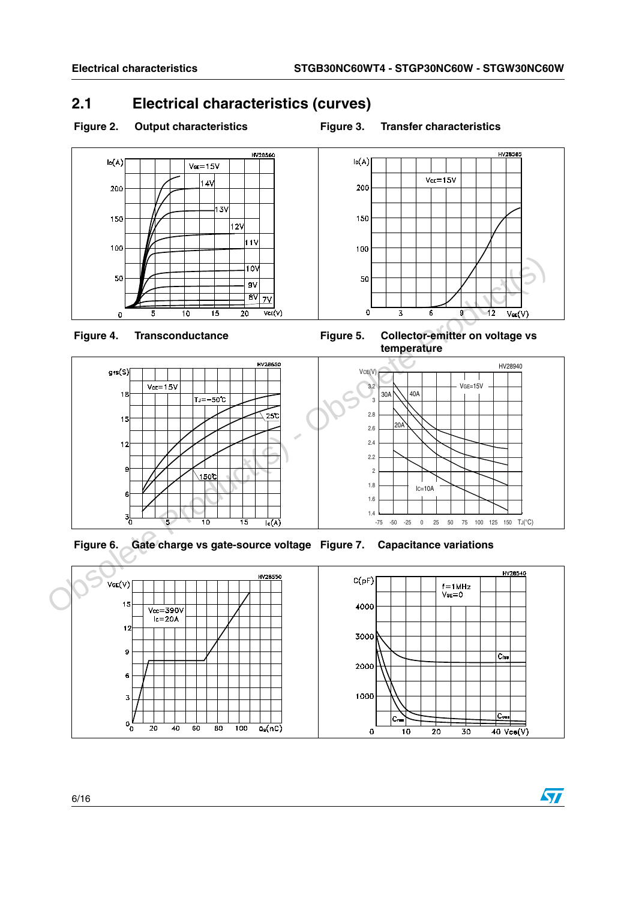### <span id="page-5-0"></span>**2.1 Electrical characteristics (curves)**

### Figure 2. Output characteristics **Figure 3. Transfer characteristics**







<span id="page-5-1"></span>





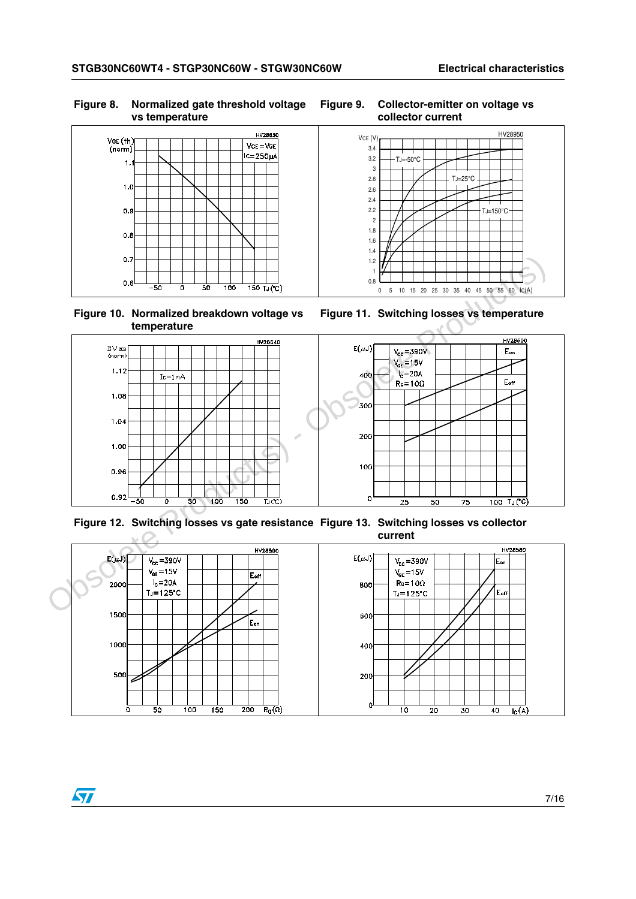#### **Figure 8. Normalized gate threshold voltage vs temperature**



**Figure 10. Normalized breakdown voltage vs temperature**

<span id="page-6-3"></span>



<span id="page-6-2"></span><span id="page-6-0"></span>



<span id="page-6-1"></span>**Figure 12. Switching losses vs gate resistance Figure 13. Switching losses vs collector current**

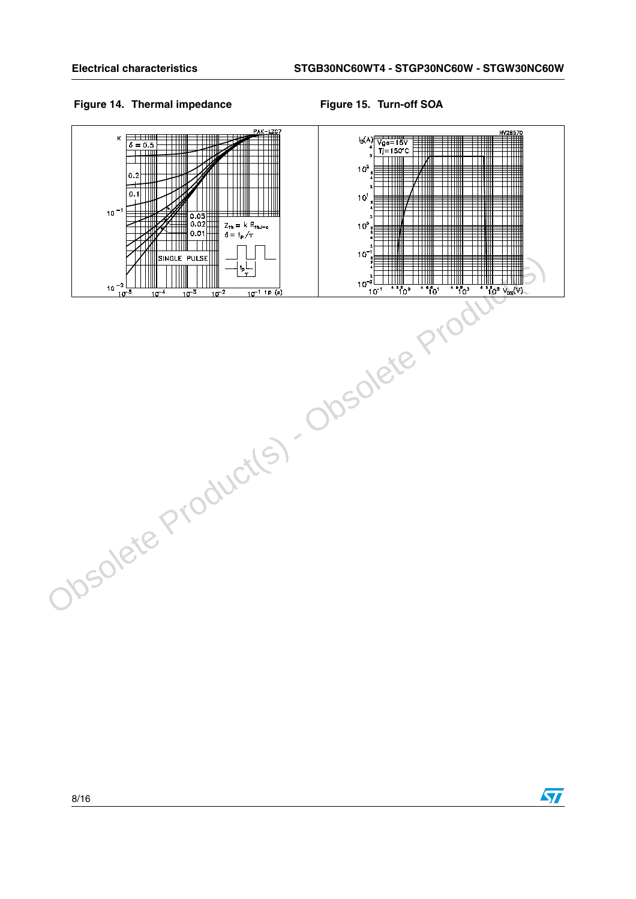### Figure 14. Thermal impedance Figure 15. Turn-off SOA



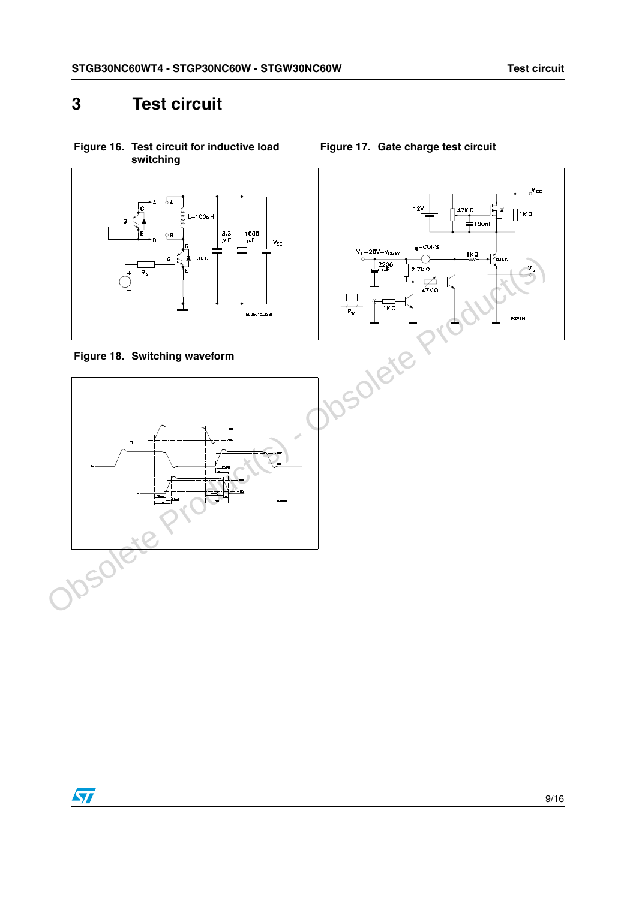## <span id="page-8-0"></span>**3 Test circuit**



<span id="page-8-2"></span>



<span id="page-8-1"></span>**Figure 17. Gate charge test circuit**

<span id="page-8-3"></span>

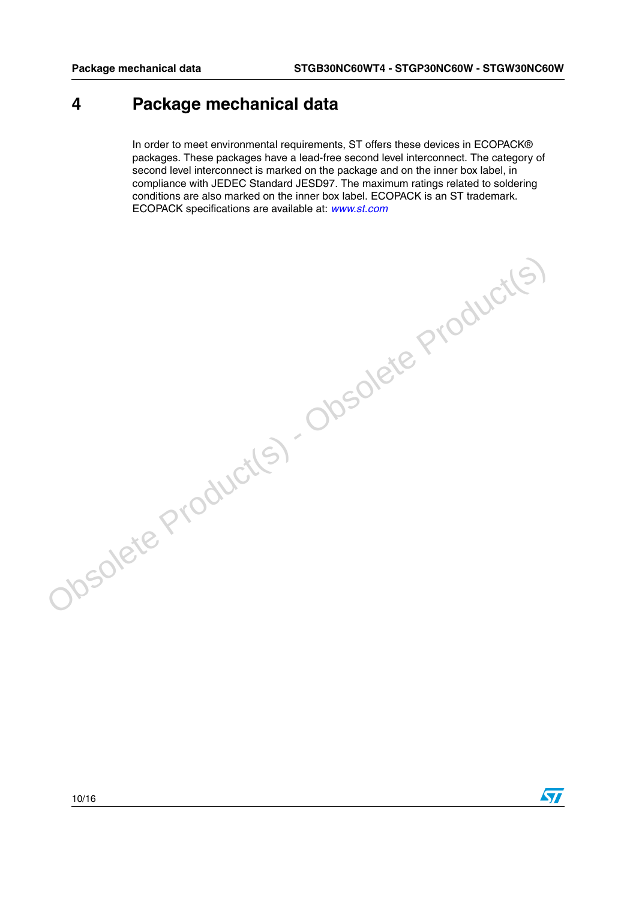### <span id="page-9-0"></span>**4 Package mechanical data**

In order to meet environmental requirements, ST offers these devices in ECOPACK® packages. These packages have a lead-free second level interconnect. The category of second level interconnect is marked on the package and on the inner box label, in compliance with JEDEC Standard JESD97. The maximum ratings related to soldering conditions are also marked on the inner box label. ECOPACK is an ST trademark. ECOPACK specifications are available at: *[www.st.com](http://www.st.com)*

Obsolete Product(s) - Obsolete Product(s)



 $\sqrt{2}$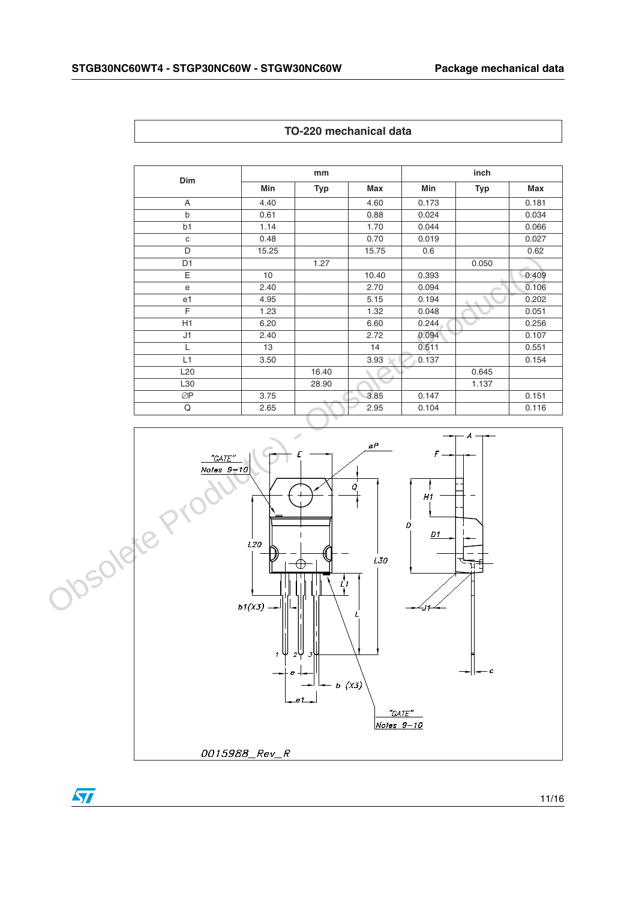| <b>Dim</b>      | mm    |            |           | inch  |       |       |  |
|-----------------|-------|------------|-----------|-------|-------|-------|--|
|                 | Min   | <b>Typ</b> | Max       | Min   | Typ   | Max   |  |
| A               | 4.40  |            | 4.60      | 0.173 |       | 0.181 |  |
| $\mathsf b$     | 0.61  |            | 0.88      | 0.024 |       | 0.034 |  |
| b <sub>1</sub>  | 1.14  |            | 1.70      | 0.044 |       | 0.066 |  |
| $\mathbf C$     | 0.48  |            | 0.70      | 0.019 |       | 0.027 |  |
| D               | 15.25 |            | 15.75     | 0.6   |       | 0.62  |  |
| D <sub>1</sub>  |       | 1.27       |           |       | 0.050 |       |  |
| E               | 10    |            | 10.40     | 0.393 |       | 0.409 |  |
| $\mathbf e$     | 2.40  |            | 2.70      | 0.094 |       | 0.106 |  |
| e1              | 4.95  |            | 5.15      | 0.194 | ó.    | 0.202 |  |
| F               | 1.23  |            | 1.32      | 0.048 |       | 0.051 |  |
| H1              | 6.20  |            | 6.60      | 0.244 |       | 0.256 |  |
| J1              | 2.40  |            | 2.72      | 0.094 |       | 0.107 |  |
| L               | 13    |            | 14        | 0.511 |       | 0.551 |  |
| L1              | 3.50  |            | 3.93<br>⊾ | 0.137 |       | 0.154 |  |
| L <sub>20</sub> |       | 16.40      |           |       | 0.645 |       |  |
| L30             |       | 28.90      |           |       | 1.137 |       |  |
| ØP              | 3.75  |            | 3.85      | 0.147 |       | 0.151 |  |
| Q               | 2.65  |            | 2.95      | 0.104 |       | 0.116 |  |

**TO-220 mechanical data**



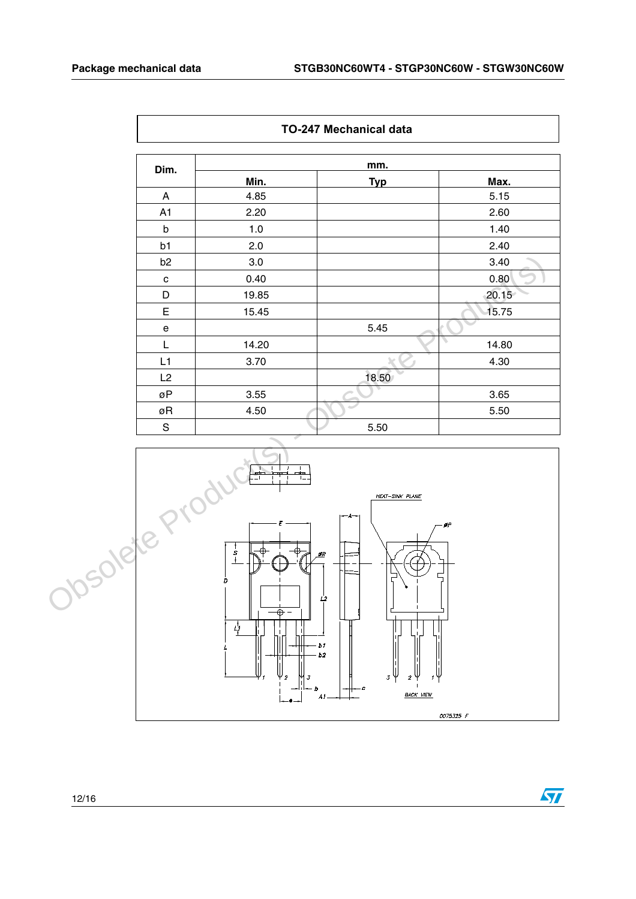$\sqrt{2}$ 

| Dim.           | mm.   |            |       |  |  |  |
|----------------|-------|------------|-------|--|--|--|
|                | Min.  | <b>Typ</b> | Max.  |  |  |  |
| A              | 4.85  |            | 5.15  |  |  |  |
| A1             | 2.20  |            | 2.60  |  |  |  |
| b              | 1.0   |            | 1.40  |  |  |  |
| b1             | 2.0   |            | 2.40  |  |  |  |
| b <sub>2</sub> | 3.0   |            | 3.40  |  |  |  |
| C              | 0.40  |            | 0.80  |  |  |  |
| D              | 19.85 |            | 20.15 |  |  |  |
| E              | 15.45 |            | 15.75 |  |  |  |
| e              |       | 5.45       |       |  |  |  |
| L              | 14.20 |            | 14.80 |  |  |  |
| L1             | 3.70  |            | 4.30  |  |  |  |
| L2             |       | 18.50      |       |  |  |  |
| øΡ             | 3.55  |            | 3.65  |  |  |  |
| øR             | 4.50  |            | 5.50  |  |  |  |
| $\mathbf S$    |       | 5.50       |       |  |  |  |



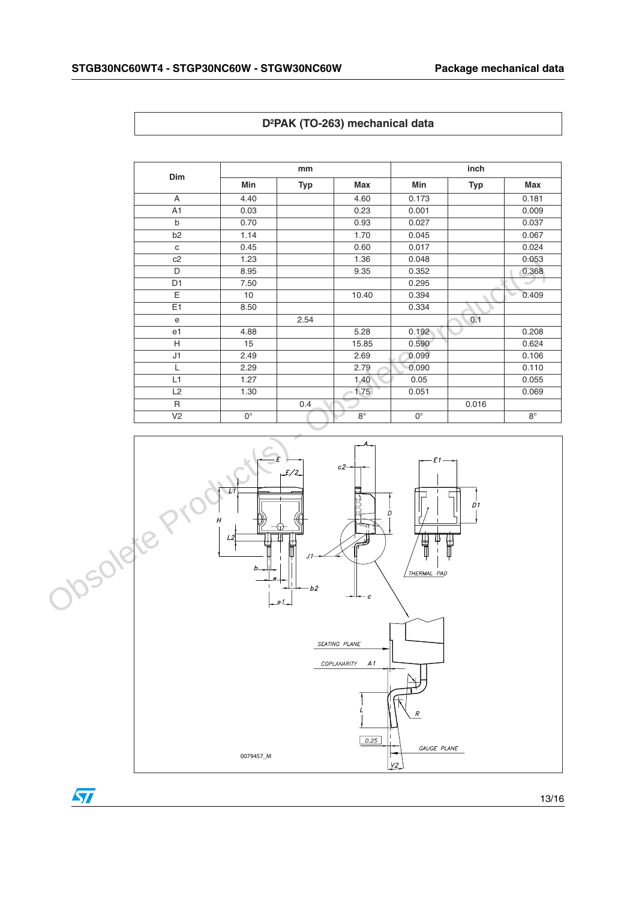| Dim            | mm          |            |             | inch        |            |                    |
|----------------|-------------|------------|-------------|-------------|------------|--------------------|
|                | Min         | <b>Typ</b> | <b>Max</b>  | Min         | <b>Typ</b> | <b>Max</b>         |
| A              | 4.40        |            | 4.60        | 0.173       |            | 0.181              |
| A1             | 0.03        |            | 0.23        | 0.001       |            | 0.009              |
| $\mathsf b$    | 0.70        |            | 0.93        | 0.027       |            | 0.037              |
| b <sub>2</sub> | 1.14        |            | 1.70        | 0.045       |            | 0.067              |
| $\mathbf{C}$   | 0.45        |            | 0.60        | 0.017       |            | 0.024              |
| c2             | 1.23        |            | 1.36        | 0.048       |            | 0.053              |
| D              | 8.95        |            | 9.35        | 0.352       |            | 0.368              |
| D <sub>1</sub> | 7.50        |            |             | 0.295       |            |                    |
| E              | 10          |            | 10.40       | 0.394       |            | 0.409<br>$\ddot{}$ |
| E1             | 8.50        |            |             | 0.334       |            |                    |
| e              |             | 2.54       |             |             | 0.1        |                    |
| e <sub>1</sub> | 4.88        |            | 5.28        | 0.192       |            | 0.208              |
| H              | 15          |            | 15.85       | 0.590       |            | 0.624              |
| J1             | 2.49        |            | 2.69        | 0.099       |            | 0.106              |
| L              | 2.29        |            | 2.79        | 0.090       |            | 0.110              |
| L1             | 1.27        |            | 1.40        | 0.05        |            | 0.055              |
| L2             | 1.30        |            | 1.75        | 0.051       |            | 0.069              |
| R              |             | 0.4        |             |             | 0.016      |                    |
| V <sub>2</sub> | $0^{\circ}$ |            | $8^{\circ}$ | $0^{\circ}$ |            | $8^{\circ}$        |





 $\sqrt{2}$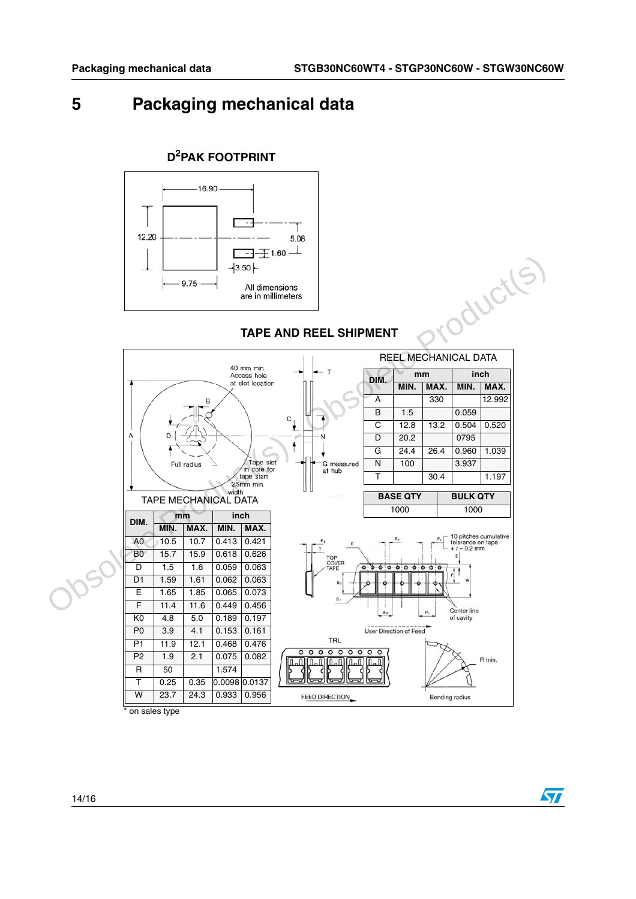$\sqrt{27}$ 

## <span id="page-13-0"></span>**5 Packaging mechanical data**



# **D2PAK FOOTPRINT**





on sales type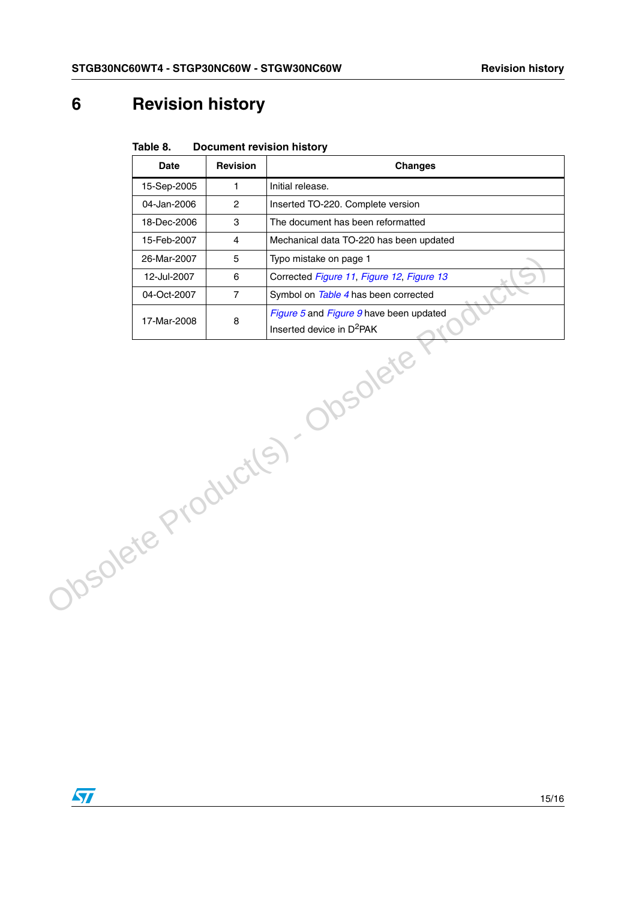## **6 Revision history**

| Table 8. | <b>Document revision history</b> |  |
|----------|----------------------------------|--|
|          |                                  |  |

|                                 | <b>Date</b> | Revision       | <b>Changes</b>                            |  |  |
|---------------------------------|-------------|----------------|-------------------------------------------|--|--|
|                                 | 15-Sep-2005 | $\mathbf{1}$   | Initial release.                          |  |  |
|                                 | 04-Jan-2006 | $\overline{c}$ | Inserted TO-220. Complete version         |  |  |
|                                 | 18-Dec-2006 | 3              | The document has been reformatted         |  |  |
|                                 | 15-Feb-2007 | $\overline{4}$ | Mechanical data TO-220 has been updated   |  |  |
|                                 | 26-Mar-2007 | 5              | Typo mistake on page 1                    |  |  |
|                                 | 12-Jul-2007 | 6              | Corrected Figure 11, Figure 12, Figure 13 |  |  |
|                                 | 04-Oct-2007 | $\overline{7}$ | Symbol on Table 4 has been corrected      |  |  |
|                                 |             |                | Figure 5 and Figure 9 have been updated   |  |  |
|                                 | 17-Mar-2008 | 8              | Inserted device in D <sup>2</sup> PAK     |  |  |
| Josolete<br>Obsolete Product(s) |             |                |                                           |  |  |